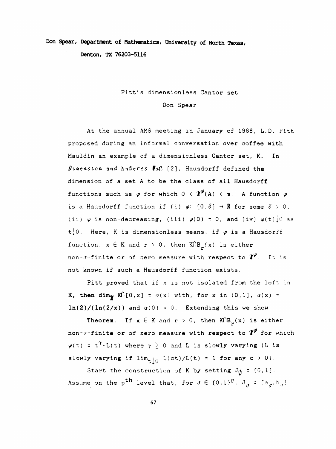## Don Spear, Department of Mathematics, University of North Texas,

Denton, TX 76203-5116

## Pitt's dimensionless Cantor set

## Don Spear

 At the annual AMS meeting in January of 1988, L.D. Pitt proposed during an informal conversation over coffee with Mauldin an example of a dimensionless Cantor set, K. In Degension und äußeres  $\#$ 43 [2], Hausdorff defined the dimension of a set A to be the class of all Hausdorff functions such as  $\varphi$  for which  $0 < \mathcal{X}^{\varphi}(A) < \varpi$ . A function  $\varphi$ is a Hausdorff function if (i)  $\varphi$ : [0,  $\delta$ ]  $\rightarrow \mathbb{R}$  for some  $\delta > 0$ , (ii)  $\varphi$  is non-decreasing, (iii)  $\varphi(0) = 0$ , and (iv)  $\varphi(t)$ .[o as t.0. Here, K is dimensionless means, if  $\varphi$  is a Hausdorff function,  $\mathbf{x} \in \mathtt{K}$  and  $\mathtt{r} \geq 0$ , then  $\mathtt{K}(\mathsf{B}_{\mathtt{r}}(\mathbf{x}))$  is either non- $\sigma$ -finite or of zero measure with respect to  $\chi^{\varphi}$ . It is not known if such a Hausdorff function exists.

 Pitt proved that if x is not isolated from the left in K, then dim<sub>p</sub> Kf<sup>or</sup>[0,x] =  $\alpha(x)$  with, for x in (0,1],  $\alpha(x)$  =  $\ln(2) / (\ln(2/x))$  and  $\alpha(0) = 0$ . Extending this we show

Theorem. If  $x \in K$  and  $r > 0$ , then  $K \cap B_{\mathbf{r}}(x)$  is either non- $\sigma$ -finite or of zero measure with respect to  $\chi^{\varphi}$  for which  $\psi(t) = t^{\gamma} \cdot L(t)$  where  $\gamma \ge 0$  and L is slowly varying (L is slowly varying if  $\lim_{t\downarrow0}$   $L(ct)/L(t)$  = 1 for any  $c$  > 0).

Start the construction of K by setting  $J_{\hat{y}} = [0,1]$ . Assume on the p<sup>th</sup> level that, for  $\sigma \in \{0,1\}^{\mathbf{p}},$  J<sub> $\sigma$ </sub> = [a<sub> $\sigma$ </sub>,b<sub> $\sigma$ </sub>]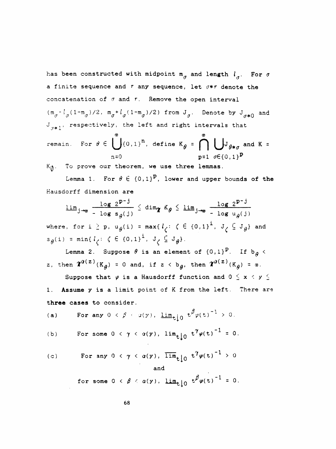has been constructed with midpoint  $m_{\sigma}$  and length  $l_{\sigma}$ . For  $\sigma$ a finite sequence and  $r$  any sequence, let  $\sigma * r$  denote the concatenation of  $\sigma$  and  $\tau$ . Remove the open interval  $(m_{\sigma} - l_{\sigma} (1-m_{\sigma})/2, m_{\sigma} + l_{\sigma} (1-m_{\sigma})/2)$  from  $J_{\sigma}$ . Denote by  $J_{\sigma*0}$  and  $J_{\tau\star}$ , respectively, the left and right intervals that ■J \*\*\* -i. the left and right int<br>  $\sigma$ <br>  $\begin{bmatrix} 0 & 0 & \cdots & 0 \\ 0 & 0 & 0 & \cdots & 0 \end{bmatrix}$ a finite sequence and  $r$  any sequence, let  $\sigma* r$  denote the<br>concatenation of  $\sigma$  and  $r$ . Remove the open interval<br> $(\pi_{\sigma}^{-1}g(1-\pi_{\sigma})/2, \pi_{\sigma}^{-1}f_g(1-\pi_{\sigma})/2)$  from  $J_{\sigma}$ . Denote by  $J_{\sigma*0}$  and<br> $J_{\sigma*1}$ , respecti

 $n=0$  p=1  $\sigma \in \{0, 1\}^{\mathbf{p}}$  $K_{th}$ . To prove our theorem, we use three lemmas.

Lemma 1. For  $\theta \in \{0,1\}^{\mathbf{p}}$ , lower and upper bounds of the Hausdorff dimension are

$$
\frac{\lim_{j \to \infty} \frac{\log 2^{p-j}}{-\log s_{\theta}(j)}}{\log s_{\theta}(j)} \leq \dim_{\mathcal{U}} K_{\theta} \leq \frac{\lim_{j \to \infty} \frac{\log 2^{p-j}}{-\log u_{\theta}(j)}}{-\log u_{\theta}(j)}
$$
\nwhere, for  $i \geq p$ ,  $u_{\theta}(i) = \max\{i_{\zeta}: \zeta \in \{0,1\}^{i}, J_{\zeta} \subseteq J_{\theta}\}$  and  $s_{\theta}(i) = \min\{i_{\zeta}: \zeta \in \{0,1\}^{i}, J_{\zeta} \subseteq J_{\theta}\}.$ 

Lemma 2. Suppose  $\theta$  is an element of  $\left\{ 0,1\right\} ^{\mathbf{P}}$ . If  $\mathbf{b}_{\boldsymbol{\theta}}$  < z, then  $\chi^{q(z)}(K_{\rho}) = 0$  and, if  $z < b_{\rho}$ , then  $\chi^{q(z)}(K_{\rho}) = \infty$ .

Suppose that  $\varphi$  is a Hausdorff function and  $0 \leq x < y \leq$  1. Assume y is a limit point of K from the left. There are three cases to consider.

(a) For any 
$$
0 \le \beta \le a(y)
$$
,  $\underline{\lim}_{t \downarrow 0} t^{\beta} \varphi(t)^{-1} > 0$ .

(b) For some 
$$
0 \le \gamma \le a(y)
$$
,  $\lim_{t \downarrow 0} t^{\gamma} \varphi(t)^{-1} = 0$ .

(c) For any 
$$
0 < \gamma < a(y)
$$
,  $\overline{\lim}_{t \downarrow 0} t^{\gamma} \varphi(t)^{-1} > 0$   
and  
for some  $0 < \beta < a(y)$ ,  $\underline{\lim}_{t \downarrow 0} t^{\beta} \varphi(t)^{-1} = 0$ .